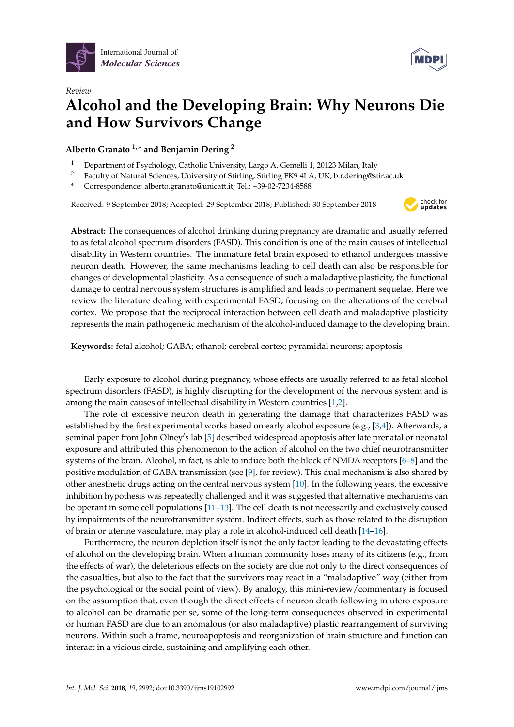

*Review*



# **Alcohol and the Developing Brain: Why Neurons Die and How Survivors Change**

# **Alberto Granato 1,\* and Benjamin Dering <sup>2</sup>**

- <sup>1</sup> Department of Psychology, Catholic University, Largo A. Gemelli 1, 20123 Milan, Italy
- <sup>2</sup> Faculty of Natural Sciences, University of Stirling, Stirling FK9 4LA, UK; b.r.dering@stir.ac.uk
- **\*** Correspondence: alberto.granato@unicatt.it; Tel.: +39-02-7234-8588

Received: 9 September 2018; Accepted: 29 September 2018; Published: 30 September 2018



**Abstract:** The consequences of alcohol drinking during pregnancy are dramatic and usually referred to as fetal alcohol spectrum disorders (FASD). This condition is one of the main causes of intellectual disability in Western countries. The immature fetal brain exposed to ethanol undergoes massive neuron death. However, the same mechanisms leading to cell death can also be responsible for changes of developmental plasticity. As a consequence of such a maladaptive plasticity, the functional damage to central nervous system structures is amplified and leads to permanent sequelae. Here we review the literature dealing with experimental FASD, focusing on the alterations of the cerebral cortex. We propose that the reciprocal interaction between cell death and maladaptive plasticity represents the main pathogenetic mechanism of the alcohol-induced damage to the developing brain.

**Keywords:** fetal alcohol; GABA; ethanol; cerebral cortex; pyramidal neurons; apoptosis

Early exposure to alcohol during pregnancy, whose effects are usually referred to as fetal alcohol spectrum disorders (FASD), is highly disrupting for the development of the nervous system and is among the main causes of intellectual disability in Western countries [\[1,](#page-6-0)[2\]](#page-6-1).

The role of excessive neuron death in generating the damage that characterizes FASD was established by the first experimental works based on early alcohol exposure (e.g., [\[3,](#page-6-2)[4\]](#page-6-3)). Afterwards, a seminal paper from John Olney's lab [\[5\]](#page-6-4) described widespread apoptosis after late prenatal or neonatal exposure and attributed this phenomenon to the action of alcohol on the two chief neurotransmitter systems of the brain. Alcohol, in fact, is able to induce both the block of NMDA receptors [\[6–](#page-6-5)[8\]](#page-6-6) and the positive modulation of GABA transmission (see [\[9\]](#page-6-7), for review). This dual mechanism is also shared by other anesthetic drugs acting on the central nervous system [\[10\]](#page-6-8). In the following years, the excessive inhibition hypothesis was repeatedly challenged and it was suggested that alternative mechanisms can be operant in some cell populations [\[11](#page-6-9)[–13\]](#page-6-10). The cell death is not necessarily and exclusively caused by impairments of the neurotransmitter system. Indirect effects, such as those related to the disruption of brain or uterine vasculature, may play a role in alcohol-induced cell death [\[14–](#page-6-11)[16\]](#page-6-12).

Furthermore, the neuron depletion itself is not the only factor leading to the devastating effects of alcohol on the developing brain. When a human community loses many of its citizens (e.g., from the effects of war), the deleterious effects on the society are due not only to the direct consequences of the casualties, but also to the fact that the survivors may react in a "maladaptive" way (either from the psychological or the social point of view). By analogy, this mini-review/commentary is focused on the assumption that, even though the direct effects of neuron death following in utero exposure to alcohol can be dramatic per se, some of the long-term consequences observed in experimental or human FASD are due to an anomalous (or also maladaptive) plastic rearrangement of surviving neurons. Within such a frame, neuroapoptosis and reorganization of brain structure and function can interact in a vicious circle, sustaining and amplifying each other.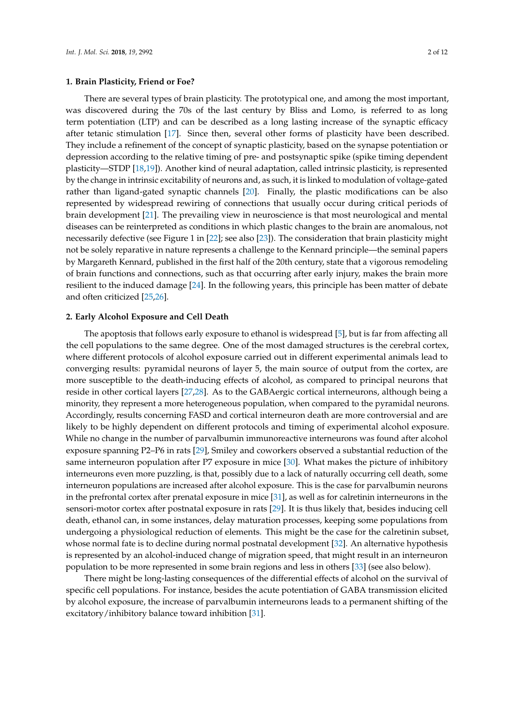There are several types of brain plasticity. The prototypical one, and among the most important, was discovered during the 70s of the last century by Bliss and Lomo, is referred to as long term potentiation (LTP) and can be described as a long lasting increase of the synaptic efficacy after tetanic stimulation [\[17\]](#page-6-13). Since then, several other forms of plasticity have been described. They include a refinement of the concept of synaptic plasticity, based on the synapse potentiation or depression according to the relative timing of pre- and postsynaptic spike (spike timing dependent plasticity—STDP [\[18,](#page-6-14)[19\]](#page-6-15)). Another kind of neural adaptation, called intrinsic plasticity, is represented by the change in intrinsic excitability of neurons and, as such, it is linked to modulation of voltage-gated rather than ligand-gated synaptic channels [\[20\]](#page-6-16). Finally, the plastic modifications can be also represented by widespread rewiring of connections that usually occur during critical periods of brain development [\[21\]](#page-6-17). The prevailing view in neuroscience is that most neurological and mental diseases can be reinterpreted as conditions in which plastic changes to the brain are anomalous, not necessarily defective (see Figure 1 in [\[22\]](#page-6-18); see also [\[23\]](#page-7-0)). The consideration that brain plasticity might not be solely reparative in nature represents a challenge to the Kennard principle—the seminal papers by Margareth Kennard, published in the first half of the 20th century, state that a vigorous remodeling of brain functions and connections, such as that occurring after early injury, makes the brain more resilient to the induced damage [\[24\]](#page-7-1). In the following years, this principle has been matter of debate and often criticized [\[25](#page-7-2)[,26\]](#page-7-3).

## **2. Early Alcohol Exposure and Cell Death**

The apoptosis that follows early exposure to ethanol is widespread [\[5\]](#page-6-4), but is far from affecting all the cell populations to the same degree. One of the most damaged structures is the cerebral cortex, where different protocols of alcohol exposure carried out in different experimental animals lead to converging results: pyramidal neurons of layer 5, the main source of output from the cortex, are more susceptible to the death-inducing effects of alcohol, as compared to principal neurons that reside in other cortical layers [\[27](#page-7-4)[,28\]](#page-7-5). As to the GABAergic cortical interneurons, although being a minority, they represent a more heterogeneous population, when compared to the pyramidal neurons. Accordingly, results concerning FASD and cortical interneuron death are more controversial and are likely to be highly dependent on different protocols and timing of experimental alcohol exposure. While no change in the number of parvalbumin immunoreactive interneurons was found after alcohol exposure spanning P2–P6 in rats [\[29\]](#page-7-6), Smiley and coworkers observed a substantial reduction of the same interneuron population after P7 exposure in mice [\[30\]](#page-7-7). What makes the picture of inhibitory interneurons even more puzzling, is that, possibly due to a lack of naturally occurring cell death, some interneuron populations are increased after alcohol exposure. This is the case for parvalbumin neurons in the prefrontal cortex after prenatal exposure in mice [\[31\]](#page-7-8), as well as for calretinin interneurons in the sensori-motor cortex after postnatal exposure in rats [\[29\]](#page-7-6). It is thus likely that, besides inducing cell death, ethanol can, in some instances, delay maturation processes, keeping some populations from undergoing a physiological reduction of elements. This might be the case for the calretinin subset, whose normal fate is to decline during normal postnatal development [\[32\]](#page-7-9). An alternative hypothesis is represented by an alcohol-induced change of migration speed, that might result in an interneuron population to be more represented in some brain regions and less in others [\[33\]](#page-7-10) (see also below).

There might be long-lasting consequences of the differential effects of alcohol on the survival of specific cell populations. For instance, besides the acute potentiation of GABA transmission elicited by alcohol exposure, the increase of parvalbumin interneurons leads to a permanent shifting of the excitatory/inhibitory balance toward inhibition [\[31\]](#page-7-8).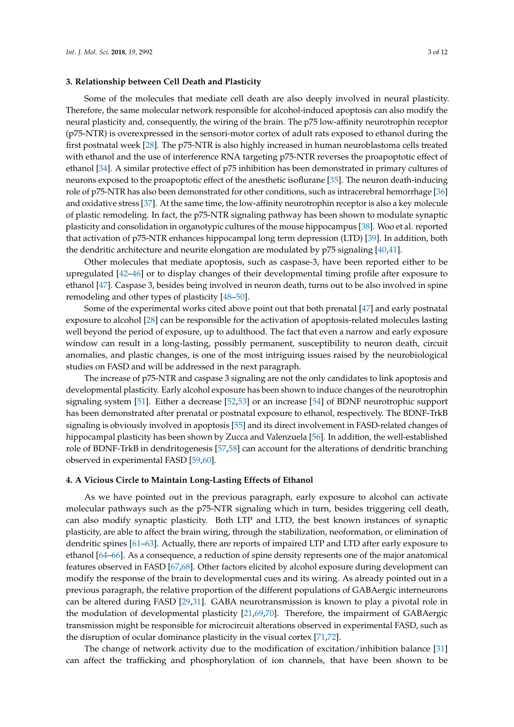#### **3. Relationship between Cell Death and Plasticity**

Some of the molecules that mediate cell death are also deeply involved in neural plasticity. Therefore, the same molecular network responsible for alcohol-induced apoptosis can also modify the neural plasticity and, consequently, the wiring of the brain. The p75 low-affinity neurotrophin receptor (p75-NTR) is overexpressed in the sensori-motor cortex of adult rats exposed to ethanol during the first postnatal week [\[28\]](#page-7-5). The p75-NTR is also highly increased in human neuroblastoma cells treated with ethanol and the use of interference RNA targeting p75-NTR reverses the proapoptotic effect of ethanol [\[34\]](#page-7-11). A similar protective effect of p75 inhibition has been demonstrated in primary cultures of neurons exposed to the proapoptotic effect of the anesthetic isoflurane [\[35\]](#page-7-12). The neuron death-inducing role of p75-NTR has also been demonstrated for other conditions, such as intracerebral hemorrhage [\[36\]](#page-7-13) and oxidative stress [\[37\]](#page-7-14). At the same time, the low-affinity neurotrophin receptor is also a key molecule of plastic remodeling. In fact, the p75-NTR signaling pathway has been shown to modulate synaptic plasticity and consolidation in organotypic cultures of the mouse hippocampus [\[38\]](#page-7-15). Woo et al. reported that activation of p75-NTR enhances hippocampal long term depression (LTD) [\[39\]](#page-7-16). In addition, both the dendritic architecture and neurite elongation are modulated by p75 signaling [\[40](#page-7-17)[,41\]](#page-7-18).

Other molecules that mediate apoptosis, such as caspase-3, have been reported either to be upregulated [\[42](#page-7-19)[–46\]](#page-8-0) or to display changes of their developmental timing profile after exposure to ethanol [\[47\]](#page-8-1). Caspase 3, besides being involved in neuron death, turns out to be also involved in spine remodeling and other types of plasticity [\[48](#page-8-2)[–50\]](#page-8-3).

Some of the experimental works cited above point out that both prenatal [\[47\]](#page-8-1) and early postnatal exposure to alcohol [\[28\]](#page-7-5) can be responsible for the activation of apoptosis-related molecules lasting well beyond the period of exposure, up to adulthood. The fact that even a narrow and early exposure window can result in a long-lasting, possibly permanent, susceptibility to neuron death, circuit anomalies, and plastic changes, is one of the most intriguing issues raised by the neurobiological studies on FASD and will be addressed in the next paragraph.

The increase of p75-NTR and caspase 3 signaling are not the only candidates to link apoptosis and developmental plasticity. Early alcohol exposure has been shown to induce changes of the neurotrophin signaling system [\[51\]](#page-8-4). Either a decrease [\[52](#page-8-5)[,53\]](#page-8-6) or an increase [\[54\]](#page-8-7) of BDNF neurotrophic support has been demonstrated after prenatal or postnatal exposure to ethanol, respectively. The BDNF-TrkB signaling is obviously involved in apoptosis [\[55\]](#page-8-8) and its direct involvement in FASD-related changes of hippocampal plasticity has been shown by Zucca and Valenzuela [\[56\]](#page-8-9). In addition, the well-established role of BDNF-TrkB in dendritogenesis [\[57,](#page-8-10)[58\]](#page-8-11) can account for the alterations of dendritic branching observed in experimental FASD [\[59](#page-8-12)[,60\]](#page-8-13).

## **4. A Vicious Circle to Maintain Long-Lasting Effects of Ethanol**

As we have pointed out in the previous paragraph, early exposure to alcohol can activate molecular pathways such as the p75-NTR signaling which in turn, besides triggering cell death, can also modify synaptic plasticity. Both LTP and LTD, the best known instances of synaptic plasticity, are able to affect the brain wiring, through the stabilization, neoformation, or elimination of dendritic spines [\[61](#page-8-14)[–63\]](#page-8-15). Actually, there are reports of impaired LTP and LTD after early exposure to ethanol [\[64](#page-8-16)[–66\]](#page-9-0). As a consequence, a reduction of spine density represents one of the major anatomical features observed in FASD [\[67,](#page-9-1)[68\]](#page-9-2). Other factors elicited by alcohol exposure during development can modify the response of the brain to developmental cues and its wiring. As already pointed out in a previous paragraph, the relative proportion of the different populations of GABAergic interneurons can be altered during FASD [\[29,](#page-7-6)[31\]](#page-7-8). GABA neurotransmission is known to play a pivotal role in the modulation of developmental plasticity [\[21](#page-6-17)[,69,](#page-9-3)[70\]](#page-9-4). Therefore, the impairment of GABAergic transmission might be responsible for microcircuit alterations observed in experimental FASD, such as the disruption of ocular dominance plasticity in the visual cortex [\[71](#page-9-5)[,72\]](#page-9-6).

The change of network activity due to the modification of excitation/inhibition balance [\[31\]](#page-7-8) can affect the trafficking and phosphorylation of ion channels, that have been shown to be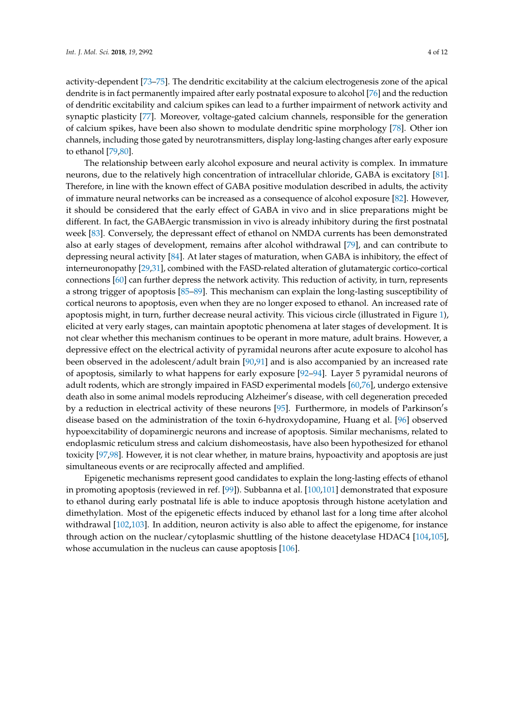activity-dependent [\[73](#page-9-7)[–75\]](#page-9-8). The dendritic excitability at the calcium electrogenesis zone of the apical dendrite is in fact permanently impaired after early postnatal exposure to alcohol [\[76\]](#page-9-9) and the reduction of dendritic excitability and calcium spikes can lead to a further impairment of network activity and synaptic plasticity [\[77\]](#page-9-10). Moreover, voltage-gated calcium channels, responsible for the generation of calcium spikes, have been also shown to modulate dendritic spine morphology [\[78\]](#page-9-11). Other ion channels, including those gated by neurotransmitters, display long-lasting changes after early exposure to ethanol [\[79](#page-9-12)[,80\]](#page-9-13).

The relationship between early alcohol exposure and neural activity is complex. In immature neurons, due to the relatively high concentration of intracellular chloride, GABA is excitatory [\[81\]](#page-9-14). Therefore, in line with the known effect of GABA positive modulation described in adults, the activity of immature neural networks can be increased as a consequence of alcohol exposure [\[82\]](#page-9-15). However, it should be considered that the early effect of GABA in vivo and in slice preparations might be different. In fact, the GABAergic transmission in vivo is already inhibitory during the first postnatal week [\[83\]](#page-9-16). Conversely, the depressant effect of ethanol on NMDA currents has been demonstrated also at early stages of development, remains after alcohol withdrawal [\[79\]](#page-9-12), and can contribute to depressing neural activity [\[84\]](#page-9-17). At later stages of maturation, when GABA is inhibitory, the effect of interneuronopathy [\[29,](#page-7-6)[31\]](#page-7-8), combined with the FASD-related alteration of glutamatergic cortico-cortical connections [\[60\]](#page-8-13) can further depress the network activity. This reduction of activity, in turn, represents a strong trigger of apoptosis [\[85](#page-9-18)[–89\]](#page-10-0). This mechanism can explain the long-lasting susceptibility of cortical neurons to apoptosis, even when they are no longer exposed to ethanol. An increased rate of apoptosis might, in turn, further decrease neural activity. This vicious circle (illustrated in Figure [1\)](#page-4-0), elicited at very early stages, can maintain apoptotic phenomena at later stages of development. It is not clear whether this mechanism continues to be operant in more mature, adult brains. However, a depressive effect on the electrical activity of pyramidal neurons after acute exposure to alcohol has been observed in the adolescent/adult brain [\[90](#page-10-1)[,91\]](#page-10-2) and is also accompanied by an increased rate of apoptosis, similarly to what happens for early exposure [\[92–](#page-10-3)[94\]](#page-10-4). Layer 5 pyramidal neurons of adult rodents, which are strongly impaired in FASD experimental models [\[60,](#page-8-13)[76\]](#page-9-9), undergo extensive death also in some animal models reproducing Alzheimer's disease, with cell degeneration preceded by a reduction in electrical activity of these neurons [\[95\]](#page-10-5). Furthermore, in models of Parkinson's disease based on the administration of the toxin 6-hydroxydopamine, Huang et al. [\[96\]](#page-10-6) observed hypoexcitability of dopaminergic neurons and increase of apoptosis. Similar mechanisms, related to endoplasmic reticulum stress and calcium dishomeostasis, have also been hypothesized for ethanol toxicity [\[97,](#page-10-7)[98\]](#page-10-8). However, it is not clear whether, in mature brains, hypoactivity and apoptosis are just simultaneous events or are reciprocally affected and amplified.

Epigenetic mechanisms represent good candidates to explain the long-lasting effects of ethanol in promoting apoptosis (reviewed in ref. [\[99\]](#page-10-9)). Subbanna et al. [\[100](#page-10-10)[,101\]](#page-10-11) demonstrated that exposure to ethanol during early postnatal life is able to induce apoptosis through histone acetylation and dimethylation. Most of the epigenetic effects induced by ethanol last for a long time after alcohol withdrawal [\[102,](#page-10-12)[103\]](#page-10-13). In addition, neuron activity is also able to affect the epigenome, for instance through action on the nuclear/cytoplasmic shuttling of the histone deacetylase HDAC4 [\[104,](#page-10-14)[105\]](#page-10-15), whose accumulation in the nucleus can cause apoptosis [\[106\]](#page-11-0).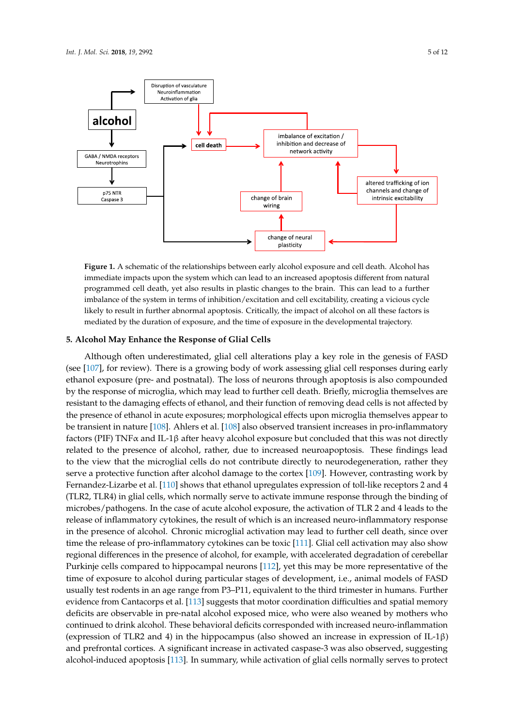<span id="page-4-0"></span>

**Figure 1.** A schematic of the relationships between early alcohol exposure and cell death. Alcohol has **Figure 1.** A schematic of the relationships between early alcohol exposure and cell death. Alcohol has immediate impacts upon the system which can lead to an increased apoptosis different from natural immediate impacts upon the system which can lead to an increased apoptosis different from natural programmed cell death, yet also results in plastic changes to the brain. This can lead to a further programmed cell death, yet also results in plastic changes to the brain. This can lead to a further imbalance of the system in terms of inhibition/excitation and cell excitability, creating a vicious cycle likely to result in further abnormal apoptosis. Critically, the impact of alcohol on all these factors is likely to result in further abnormal apoptosis. Critically, the impact of alcohol on all these factors is mediated by the duration of exposure, and the time of exposure in the developmental trajectory. mediated by the duration of exposure, and the time of exposure in the developmental trajectory. imbalance of the system in terms of inhibition/excitation and cell excitability, creating a vicious cycle

## **5. Alcohol May Enhance the Response of Glial Cells**

**2. Early Alcohol Exposure and Cell Death** (see  $[107]$ , for review). There is a growing body of work assessing glial cell responses during early ethanol exposure (pre- and postnatal). The loss of neurons through apoptosis is also compounded by the response of microglia, which may lead to further cell death. Briefly, microglia themselves are resistant to the damaging effects of ethanol, and their function of removing dead cells is not affected by the presence of ethanol in acute exposures; morphological effects upon microglia themselves appear to Although often underestimated, glial cell alterations play a key role in the genesis of FASD be transient in nature [\[108\]](#page-11-2). Ahlers et al. [\[108\]](#page-11-2) also observed transient increases in pro-inflammatory factors (PIF) TNF $\alpha$  and IL-1 $\beta$  after heavy alcohol exposure but concluded that this was not directly related to the presence of alcohol, rather, due to increased neuroapoptosis. These findings lead to the view that the microglial cells do not contribute directly to neurodegeneration, rather they serve a protective function after alcohol damage to the cortex [\[109\]](#page-11-3). However, contrasting work by Fernandez-Lizarbe et al. [\[110\]](#page-11-4) shows that ethanol upregulates expression of toll-like receptors 2 and 4 (TLR2, TLR4) in glial cells, which normally serve to activate immune response through the binding of microbes/pathogens. In the case of acute alcohol exposure, the activation of TLR 2 and 4 leads to the release of inflammatory cytokines, the result of which is an increased neuro-inflammatory response in the presence of alcohol. Chronic microglial activation may lead to further cell death, since over time the release of pro-inflammatory cytokines can be toxic [\[111\]](#page-11-5). Glial cell activation may also show regional differences in the presence of alcohol, for example, with accelerated degradation of cerebellar Purkinje cells compared to hippocampal neurons [\[112\]](#page-11-6), yet this may be more representative of the time of exposure to alcohol during particular stages of development, i.e., animal models of FASD usually test rodents in an age range from P3–P11, equivalent to the third trimester in humans. Further evidence from Cantacorps et al. [\[113\]](#page-11-7) suggests that motor coordination difficulties and spatial memory deficits are observable in pre-natal alcohol exposed mice, who were also weaned by mothers who continued to drink alcohol. These behavioral deficits corresponded with increased neuro-inflammation (expression of TLR2 and 4) in the hippocampus (also showed an increase in expression of IL-1 $\beta$ ) and prefrontal cortices. A significant increase in activated caspase-3 was also observed, suggesting alcohol-induced apoptosis [\[113\]](#page-11-7). In summary, while activation of glial cells normally serves to protect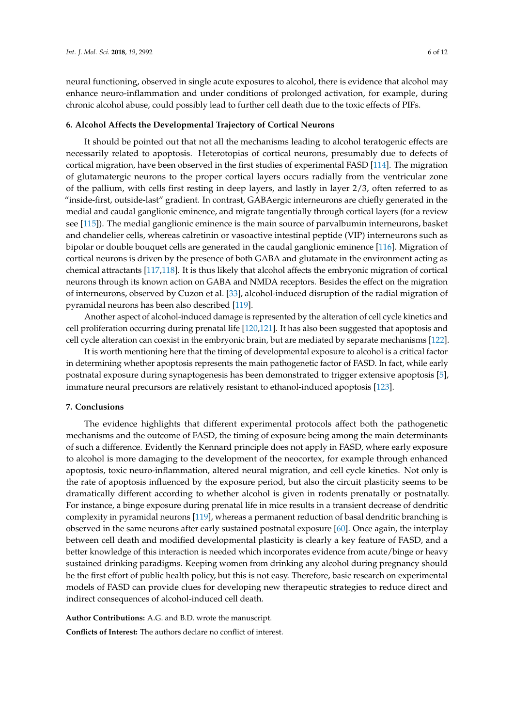neural functioning, observed in single acute exposures to alcohol, there is evidence that alcohol may enhance neuro-inflammation and under conditions of prolonged activation, for example, during chronic alcohol abuse, could possibly lead to further cell death due to the toxic effects of PIFs.

#### **6. Alcohol Affects the Developmental Trajectory of Cortical Neurons**

It should be pointed out that not all the mechanisms leading to alcohol teratogenic effects are necessarily related to apoptosis. Heterotopias of cortical neurons, presumably due to defects of cortical migration, have been observed in the first studies of experimental FASD [\[114\]](#page-11-8). The migration of glutamatergic neurons to the proper cortical layers occurs radially from the ventricular zone of the pallium, with cells first resting in deep layers, and lastly in layer 2/3, often referred to as "inside-first, outside-last" gradient. In contrast, GABAergic interneurons are chiefly generated in the medial and caudal ganglionic eminence, and migrate tangentially through cortical layers (for a review see [\[115\]](#page-11-9)). The medial ganglionic eminence is the main source of parvalbumin interneurons, basket and chandelier cells, whereas calretinin or vasoactive intestinal peptide (VIP) interneurons such as bipolar or double bouquet cells are generated in the caudal ganglionic eminence [\[116\]](#page-11-10). Migration of cortical neurons is driven by the presence of both GABA and glutamate in the environment acting as chemical attractants [\[117](#page-11-11)[,118\]](#page-11-12). It is thus likely that alcohol affects the embryonic migration of cortical neurons through its known action on GABA and NMDA receptors. Besides the effect on the migration of interneurons, observed by Cuzon et al. [\[33\]](#page-7-10), alcohol-induced disruption of the radial migration of pyramidal neurons has been also described [\[119\]](#page-11-13).

Another aspect of alcohol-induced damage is represented by the alteration of cell cycle kinetics and cell proliferation occurring during prenatal life [\[120,](#page-11-14)[121\]](#page-11-15). It has also been suggested that apoptosis and cell cycle alteration can coexist in the embryonic brain, but are mediated by separate mechanisms [\[122\]](#page-11-16).

It is worth mentioning here that the timing of developmental exposure to alcohol is a critical factor in determining whether apoptosis represents the main pathogenetic factor of FASD. In fact, while early postnatal exposure during synaptogenesis has been demonstrated to trigger extensive apoptosis [\[5\]](#page-6-4), immature neural precursors are relatively resistant to ethanol-induced apoptosis [\[123\]](#page-11-17).

#### **7. Conclusions**

The evidence highlights that different experimental protocols affect both the pathogenetic mechanisms and the outcome of FASD, the timing of exposure being among the main determinants of such a difference. Evidently the Kennard principle does not apply in FASD, where early exposure to alcohol is more damaging to the development of the neocortex, for example through enhanced apoptosis, toxic neuro-inflammation, altered neural migration, and cell cycle kinetics. Not only is the rate of apoptosis influenced by the exposure period, but also the circuit plasticity seems to be dramatically different according to whether alcohol is given in rodents prenatally or postnatally. For instance, a binge exposure during prenatal life in mice results in a transient decrease of dendritic complexity in pyramidal neurons [\[119\]](#page-11-13), whereas a permanent reduction of basal dendritic branching is observed in the same neurons after early sustained postnatal exposure [\[60\]](#page-8-13). Once again, the interplay between cell death and modified developmental plasticity is clearly a key feature of FASD, and a better knowledge of this interaction is needed which incorporates evidence from acute/binge or heavy sustained drinking paradigms. Keeping women from drinking any alcohol during pregnancy should be the first effort of public health policy, but this is not easy. Therefore, basic research on experimental models of FASD can provide clues for developing new therapeutic strategies to reduce direct and indirect consequences of alcohol-induced cell death.

**Author Contributions:** A.G. and B.D. wrote the manuscript. **Conflicts of Interest:** The authors declare no conflict of interest.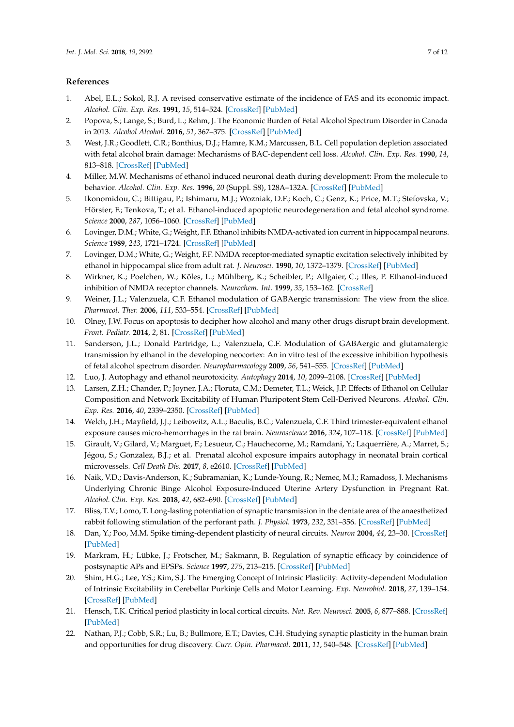# **References**

- <span id="page-6-0"></span>1. Abel, E.L.; Sokol, R.J. A revised conservative estimate of the incidence of FAS and its economic impact. *Alcohol. Clin. Exp. Res.* **1991**, *15*, 514–524. [\[CrossRef\]](http://dx.doi.org/10.1111/j.1530-0277.1991.tb00553.x) [\[PubMed\]](http://www.ncbi.nlm.nih.gov/pubmed/1877738)
- <span id="page-6-1"></span>2. Popova, S.; Lange, S.; Burd, L.; Rehm, J. The Economic Burden of Fetal Alcohol Spectrum Disorder in Canada in 2013. *Alcohol Alcohol.* **2016**, *51*, 367–375. [\[CrossRef\]](http://dx.doi.org/10.1093/alcalc/agv117) [\[PubMed\]](http://www.ncbi.nlm.nih.gov/pubmed/26493100)
- <span id="page-6-2"></span>3. West, J.R.; Goodlett, C.R.; Bonthius, D.J.; Hamre, K.M.; Marcussen, B.L. Cell population depletion associated with fetal alcohol brain damage: Mechanisms of BAC-dependent cell loss. *Alcohol. Clin. Exp. Res.* **1990**, *14*, 813–818. [\[CrossRef\]](http://dx.doi.org/10.1111/j.1530-0277.1990.tb01820.x) [\[PubMed\]](http://www.ncbi.nlm.nih.gov/pubmed/2088116)
- <span id="page-6-3"></span>4. Miller, M.W. Mechanisms of ethanol induced neuronal death during development: From the molecule to behavior. *Alcohol. Clin. Exp. Res.* **1996**, *20* (Suppl. S8), 128A–132A. [\[CrossRef\]](http://dx.doi.org/10.1111/j.1530-0277.1996.tb01762.x) [\[PubMed\]](http://www.ncbi.nlm.nih.gov/pubmed/8947251)
- <span id="page-6-4"></span>5. Ikonomidou, C.; Bittigau, P.; Ishimaru, M.J.; Wozniak, D.F.; Koch, C.; Genz, K.; Price, M.T.; Stefovska, V.; Hörster, F.; Tenkova, T.; et al. Ethanol-induced apoptotic neurodegeneration and fetal alcohol syndrome. *Science* **2000**, *287*, 1056–1060. [\[CrossRef\]](http://dx.doi.org/10.1126/science.287.5455.1056) [\[PubMed\]](http://www.ncbi.nlm.nih.gov/pubmed/10669420)
- <span id="page-6-5"></span>6. Lovinger, D.M.; White, G.; Weight, F.F. Ethanol inhibits NMDA-activated ion current in hippocampal neurons. *Science* **1989**, *243*, 1721–1724. [\[CrossRef\]](http://dx.doi.org/10.1126/science.2467382) [\[PubMed\]](http://www.ncbi.nlm.nih.gov/pubmed/2467382)
- 7. Lovinger, D.M.; White, G.; Weight, F.F. NMDA receptor-mediated synaptic excitation selectively inhibited by ethanol in hippocampal slice from adult rat. *J. Neurosci.* **1990**, *10*, 1372–1379. [\[CrossRef\]](http://dx.doi.org/10.1523/JNEUROSCI.10-04-01372.1990) [\[PubMed\]](http://www.ncbi.nlm.nih.gov/pubmed/2158533)
- <span id="page-6-6"></span>8. Wirkner, K.; Poelchen, W.; Köles, L.; Mühlberg, K.; Scheibler, P.; Allgaier, C.; Illes, P. Ethanol-induced inhibition of NMDA receptor channels. *Neurochem. Int.* **1999**, *35*, 153–162. [\[CrossRef\]](http://dx.doi.org/10.1016/S0197-0186(99)00057-1)
- <span id="page-6-7"></span>9. Weiner, J.L.; Valenzuela, C.F. Ethanol modulation of GABAergic transmission: The view from the slice. *Pharmacol. Ther.* **2006**, *111*, 533–554. [\[CrossRef\]](http://dx.doi.org/10.1016/j.pharmthera.2005.11.002) [\[PubMed\]](http://www.ncbi.nlm.nih.gov/pubmed/16427127)
- <span id="page-6-8"></span>10. Olney, J.W. Focus on apoptosis to decipher how alcohol and many other drugs disrupt brain development. *Front. Pediatr.* **2014**, *2*, 81. [\[CrossRef\]](http://dx.doi.org/10.3389/fped.2014.00081) [\[PubMed\]](http://www.ncbi.nlm.nih.gov/pubmed/25136546)
- <span id="page-6-9"></span>11. Sanderson, J.L.; Donald Partridge, L.; Valenzuela, C.F. Modulation of GABAergic and glutamatergic transmission by ethanol in the developing neocortex: An in vitro test of the excessive inhibition hypothesis of fetal alcohol spectrum disorder. *Neuropharmacology* **2009**, *56*, 541–555. [\[CrossRef\]](http://dx.doi.org/10.1016/j.neuropharm.2008.10.012) [\[PubMed\]](http://www.ncbi.nlm.nih.gov/pubmed/19027758)
- 12. Luo, J. Autophagy and ethanol neurotoxicity. *Autophagy* **2014**, *10*, 2099–2108. [\[CrossRef\]](http://dx.doi.org/10.4161/15548627.2014.981916) [\[PubMed\]](http://www.ncbi.nlm.nih.gov/pubmed/25484085)
- <span id="page-6-10"></span>13. Larsen, Z.H.; Chander, P.; Joyner, J.A.; Floruta, C.M.; Demeter, T.L.; Weick, J.P. Effects of Ethanol on Cellular Composition and Network Excitability of Human Pluripotent Stem Cell-Derived Neurons. *Alcohol. Clin. Exp. Res.* **2016**, *40*, 2339–2350. [\[CrossRef\]](http://dx.doi.org/10.1111/acer.13218) [\[PubMed\]](http://www.ncbi.nlm.nih.gov/pubmed/27717039)
- <span id="page-6-11"></span>14. Welch, J.H.; Mayfield, J.J.; Leibowitz, A.L.; Baculis, B.C.; Valenzuela, C.F. Third trimester-equivalent ethanol exposure causes micro-hemorrhages in the rat brain. *Neuroscience* **2016**, *324*, 107–118. [\[CrossRef\]](http://dx.doi.org/10.1016/j.neuroscience.2016.03.004) [\[PubMed\]](http://www.ncbi.nlm.nih.gov/pubmed/26964687)
- 15. Girault, V.; Gilard, V.; Marguet, F.; Lesueur, C.; Hauchecorne, M.; Ramdani, Y.; Laquerrière, A.; Marret, S.; Jégou, S.; Gonzalez, B.J.; et al. Prenatal alcohol exposure impairs autophagy in neonatal brain cortical microvessels. *Cell Death Dis.* **2017**, *8*, e2610. [\[CrossRef\]](http://dx.doi.org/10.1038/cddis.2017.29) [\[PubMed\]](http://www.ncbi.nlm.nih.gov/pubmed/28182007)
- <span id="page-6-12"></span>16. Naik, V.D.; Davis-Anderson, K.; Subramanian, K.; Lunde-Young, R.; Nemec, M.J.; Ramadoss, J. Mechanisms Underlying Chronic Binge Alcohol Exposure-Induced Uterine Artery Dysfunction in Pregnant Rat. *Alcohol. Clin. Exp. Res.* **2018**, *42*, 682–690. [\[CrossRef\]](http://dx.doi.org/10.1111/acer.13602) [\[PubMed\]](http://www.ncbi.nlm.nih.gov/pubmed/29363778)
- <span id="page-6-13"></span>17. Bliss, T.V.; Lomo, T. Long-lasting potentiation of synaptic transmission in the dentate area of the anaesthetized rabbit following stimulation of the perforant path. *J. Physiol.* **1973**, *232*, 331–356. [\[CrossRef\]](http://dx.doi.org/10.1113/jphysiol.1973.sp010273) [\[PubMed\]](http://www.ncbi.nlm.nih.gov/pubmed/4727084)
- <span id="page-6-14"></span>18. Dan, Y.; Poo, M.M. Spike timing-dependent plasticity of neural circuits. *Neuron* **2004**, *44*, 23–30. [\[CrossRef\]](http://dx.doi.org/10.1016/j.neuron.2004.09.007) [\[PubMed\]](http://www.ncbi.nlm.nih.gov/pubmed/15450157)
- <span id="page-6-15"></span>19. Markram, H.; Lübke, J.; Frotscher, M.; Sakmann, B. Regulation of synaptic efficacy by coincidence of postsynaptic APs and EPSPs. *Science* **1997**, *275*, 213–215. [\[CrossRef\]](http://dx.doi.org/10.1126/science.275.5297.213) [\[PubMed\]](http://www.ncbi.nlm.nih.gov/pubmed/8985014)
- <span id="page-6-16"></span>20. Shim, H.G.; Lee, Y.S.; Kim, S.J. The Emerging Concept of Intrinsic Plasticity: Activity-dependent Modulation of Intrinsic Excitability in Cerebellar Purkinje Cells and Motor Learning. *Exp. Neurobiol.* **2018**, *27*, 139–154. [\[CrossRef\]](http://dx.doi.org/10.5607/en.2018.27.3.139) [\[PubMed\]](http://www.ncbi.nlm.nih.gov/pubmed/30022866)
- <span id="page-6-17"></span>21. Hensch, T.K. Critical period plasticity in local cortical circuits. *Nat. Rev. Neurosci.* **2005**, *6*, 877–888. [\[CrossRef\]](http://dx.doi.org/10.1038/nrn1787) [\[PubMed\]](http://www.ncbi.nlm.nih.gov/pubmed/16261181)
- <span id="page-6-18"></span>22. Nathan, P.J.; Cobb, S.R.; Lu, B.; Bullmore, E.T.; Davies, C.H. Studying synaptic plasticity in the human brain and opportunities for drug discovery. *Curr. Opin. Pharmacol.* **2011**, *11*, 540–548. [\[CrossRef\]](http://dx.doi.org/10.1016/j.coph.2011.06.008) [\[PubMed\]](http://www.ncbi.nlm.nih.gov/pubmed/21737346)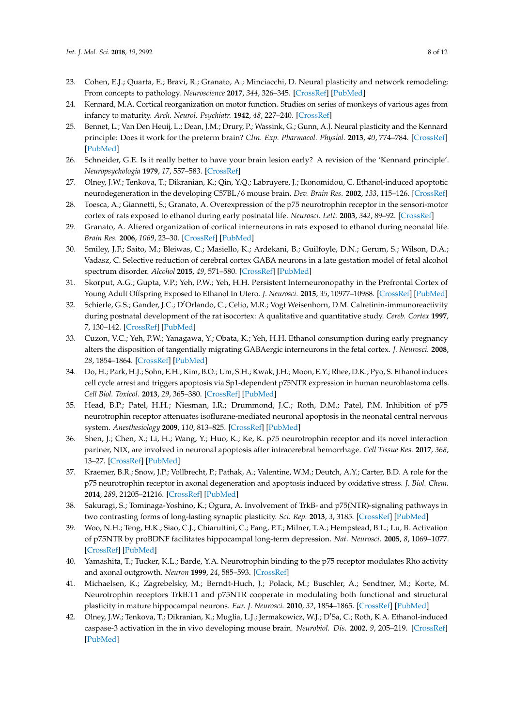- <span id="page-7-0"></span>23. Cohen, E.J.; Quarta, E.; Bravi, R.; Granato, A.; Minciacchi, D. Neural plasticity and network remodeling: From concepts to pathology. *Neuroscience* **2017**, *344*, 326–345. [\[CrossRef\]](http://dx.doi.org/10.1016/j.neuroscience.2016.12.048) [\[PubMed\]](http://www.ncbi.nlm.nih.gov/pubmed/28069532)
- <span id="page-7-1"></span>24. Kennard, M.A. Cortical reorganization on motor function. Studies on series of monkeys of various ages from infancy to maturity. *Arch. Neurol. Psychiatr.* **1942**, *48*, 227–240. [\[CrossRef\]](http://dx.doi.org/10.1001/archneurpsyc.1942.02290080073002)
- <span id="page-7-2"></span>25. Bennet, L.; Van Den Heuij, L.; Dean, J.M.; Drury, P.; Wassink, G.; Gunn, A.J. Neural plasticity and the Kennard principle: Does it work for the preterm brain? *Clin. Exp. Pharmacol. Physiol.* **2013**, *40*, 774–784. [\[CrossRef\]](http://dx.doi.org/10.1111/1440-1681.12135) [\[PubMed\]](http://www.ncbi.nlm.nih.gov/pubmed/23735123)
- <span id="page-7-3"></span>26. Schneider, G.E. Is it really better to have your brain lesion early? A revision of the 'Kennard principle'. *Neuropsychologia* **1979**, *17*, 557–583. [\[CrossRef\]](http://dx.doi.org/10.1016/0028-3932(79)90033-2)
- <span id="page-7-4"></span>27. Olney, J.W.; Tenkova, T.; Dikranian, K.; Qin, Y.Q.; Labruyere, J.; Ikonomidou, C. Ethanol-induced apoptotic neurodegeneration in the developing C57BL/6 mouse brain. *Dev. Brain Res.* **2002**, *133*, 115–126. [\[CrossRef\]](http://dx.doi.org/10.1016/S0165-3806(02)00279-1)
- <span id="page-7-5"></span>28. Toesca, A.; Giannetti, S.; Granato, A. Overexpression of the p75 neurotrophin receptor in the sensori-motor cortex of rats exposed to ethanol during early postnatal life. *Neurosci. Lett.* **2003**, *342*, 89–92. [\[CrossRef\]](http://dx.doi.org/10.1016/S0304-3940(03)00258-1)
- <span id="page-7-6"></span>29. Granato, A. Altered organization of cortical interneurons in rats exposed to ethanol during neonatal life. *Brain Res.* **2006**, *1069*, 23–30. [\[CrossRef\]](http://dx.doi.org/10.1016/j.brainres.2005.11.024) [\[PubMed\]](http://www.ncbi.nlm.nih.gov/pubmed/16386714)
- <span id="page-7-7"></span>30. Smiley, J.F.; Saito, M.; Bleiwas, C.; Masiello, K.; Ardekani, B.; Guilfoyle, D.N.; Gerum, S.; Wilson, D.A.; Vadasz, C. Selective reduction of cerebral cortex GABA neurons in a late gestation model of fetal alcohol spectrum disorder. *Alcohol* **2015**, *49*, 571–580. [\[CrossRef\]](http://dx.doi.org/10.1016/j.alcohol.2015.04.008) [\[PubMed\]](http://www.ncbi.nlm.nih.gov/pubmed/26252988)
- <span id="page-7-8"></span>31. Skorput, A.G.; Gupta, V.P.; Yeh, P.W.; Yeh, H.H. Persistent Interneuronopathy in the Prefrontal Cortex of Young Adult Offspring Exposed to Ethanol In Utero. *J. Neurosci.* **2015**, *35*, 10977–10988. [\[CrossRef\]](http://dx.doi.org/10.1523/JNEUROSCI.1462-15.2015) [\[PubMed\]](http://www.ncbi.nlm.nih.gov/pubmed/26245961)
- <span id="page-7-9"></span>32. Schierle, G.S.; Gander, J.C.; D'Orlando, C.; Celio, M.R.; Vogt Weisenhorn, D.M. Calretinin-immunoreactivity during postnatal development of the rat isocortex: A qualitative and quantitative study. *Cereb. Cortex* **1997**, *7*, 130–142. [\[CrossRef\]](http://dx.doi.org/10.1093/cercor/7.2.130) [\[PubMed\]](http://www.ncbi.nlm.nih.gov/pubmed/9087821)
- <span id="page-7-10"></span>33. Cuzon, V.C.; Yeh, P.W.; Yanagawa, Y.; Obata, K.; Yeh, H.H. Ethanol consumption during early pregnancy alters the disposition of tangentially migrating GABAergic interneurons in the fetal cortex. *J. Neurosci.* **2008**, *28*, 1854–1864. [\[CrossRef\]](http://dx.doi.org/10.1523/JNEUROSCI.5110-07.2008) [\[PubMed\]](http://www.ncbi.nlm.nih.gov/pubmed/18287502)
- <span id="page-7-11"></span>34. Do, H.; Park, H.J.; Sohn, E.H.; Kim, B.O.; Um, S.H.; Kwak, J.H.; Moon, E.Y.; Rhee, D.K.; Pyo, S. Ethanol induces cell cycle arrest and triggers apoptosis via Sp1-dependent p75NTR expression in human neuroblastoma cells. *Cell Biol. Toxicol.* **2013**, *29*, 365–380. [\[CrossRef\]](http://dx.doi.org/10.1007/s10565-013-9260-3) [\[PubMed\]](http://www.ncbi.nlm.nih.gov/pubmed/24026251)
- <span id="page-7-12"></span>35. Head, B.P.; Patel, H.H.; Niesman, I.R.; Drummond, J.C.; Roth, D.M.; Patel, P.M. Inhibition of p75 neurotrophin receptor attenuates isoflurane-mediated neuronal apoptosis in the neonatal central nervous system. *Anesthesiology* **2009**, *110*, 813–825. [\[CrossRef\]](http://dx.doi.org/10.1097/ALN.0b013e31819b602b) [\[PubMed\]](http://www.ncbi.nlm.nih.gov/pubmed/19293698)
- <span id="page-7-13"></span>36. Shen, J.; Chen, X.; Li, H.; Wang, Y.; Huo, K.; Ke, K. p75 neurotrophin receptor and its novel interaction partner, NIX, are involved in neuronal apoptosis after intracerebral hemorrhage. *Cell Tissue Res.* **2017**, *368*, 13–27. [\[CrossRef\]](http://dx.doi.org/10.1007/s00441-016-2510-y) [\[PubMed\]](http://www.ncbi.nlm.nih.gov/pubmed/27726026)
- <span id="page-7-14"></span>37. Kraemer, B.R.; Snow, J.P.; Vollbrecht, P.; Pathak, A.; Valentine, W.M.; Deutch, A.Y.; Carter, B.D. A role for the p75 neurotrophin receptor in axonal degeneration and apoptosis induced by oxidative stress. *J. Biol. Chem.* **2014**, *289*, 21205–21216. [\[CrossRef\]](http://dx.doi.org/10.1074/jbc.M114.563403) [\[PubMed\]](http://www.ncbi.nlm.nih.gov/pubmed/24939843)
- <span id="page-7-15"></span>38. Sakuragi, S.; Tominaga-Yoshino, K.; Ogura, A. Involvement of TrkB- and p75(NTR)-signaling pathways in two contrasting forms of long-lasting synaptic plasticity. *Sci. Rep.* **2013**, *3*, 3185. [\[CrossRef\]](http://dx.doi.org/10.1038/srep03185) [\[PubMed\]](http://www.ncbi.nlm.nih.gov/pubmed/24212565)
- <span id="page-7-16"></span>39. Woo, N.H.; Teng, H.K.; Siao, C.J.; Chiaruttini, C.; Pang, P.T.; Milner, T.A.; Hempstead, B.L.; Lu, B. Activation of p75NTR by proBDNF facilitates hippocampal long-term depression. *Nat. Neurosci.* **2005**, *8*, 1069–1077. [\[CrossRef\]](http://dx.doi.org/10.1038/nn1510) [\[PubMed\]](http://www.ncbi.nlm.nih.gov/pubmed/16025106)
- <span id="page-7-17"></span>40. Yamashita, T.; Tucker, K.L.; Barde, Y.A. Neurotrophin binding to the p75 receptor modulates Rho activity and axonal outgrowth. *Neuron* **1999**, *24*, 585–593. [\[CrossRef\]](http://dx.doi.org/10.1016/S0896-6273(00)81114-9)
- <span id="page-7-18"></span>41. Michaelsen, K.; Zagrebelsky, M.; Berndt-Huch, J.; Polack, M.; Buschler, A.; Sendtner, M.; Korte, M. Neurotrophin receptors TrkB.T1 and p75NTR cooperate in modulating both functional and structural plasticity in mature hippocampal neurons. *Eur. J. Neurosci.* **2010**, *32*, 1854–1865. [\[CrossRef\]](http://dx.doi.org/10.1111/j.1460-9568.2010.07460.x) [\[PubMed\]](http://www.ncbi.nlm.nih.gov/pubmed/20955473)
- <span id="page-7-19"></span>42. Olney, J.W.; Tenkova, T.; Dikranian, K.; Muglia, L.J.; Jermakowicz, W.J.; D'Sa, C.; Roth, K.A. Ethanol-induced caspase-3 activation in the in vivo developing mouse brain. *Neurobiol. Dis.* **2002**, *9*, 205–219. [\[CrossRef\]](http://dx.doi.org/10.1006/nbdi.2001.0475) [\[PubMed\]](http://www.ncbi.nlm.nih.gov/pubmed/11895372)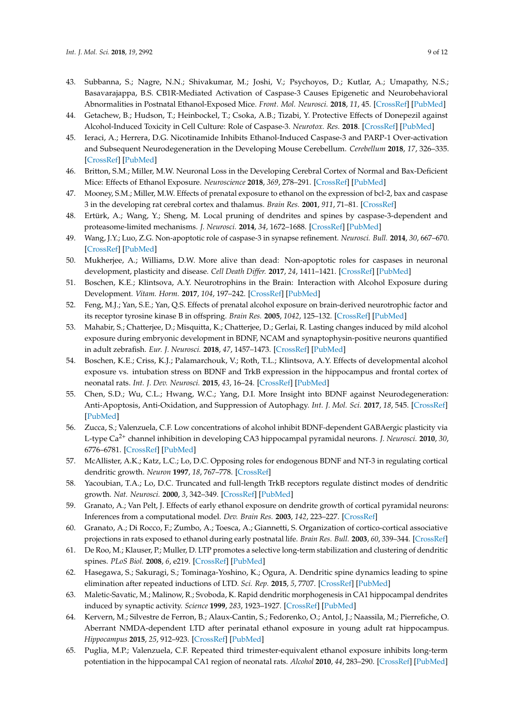- 43. Subbanna, S.; Nagre, N.N.; Shivakumar, M.; Joshi, V.; Psychoyos, D.; Kutlar, A.; Umapathy, N.S.; Basavarajappa, B.S. CB1R-Mediated Activation of Caspase-3 Causes Epigenetic and Neurobehavioral Abnormalities in Postnatal Ethanol-Exposed Mice. *Front. Mol. Neurosci.* **2018**, *11*, 45. [\[CrossRef\]](http://dx.doi.org/10.3389/fnmol.2018.00045) [\[PubMed\]](http://www.ncbi.nlm.nih.gov/pubmed/29515368)
- 44. Getachew, B.; Hudson, T.; Heinbockel, T.; Csoka, A.B.; Tizabi, Y. Protective Effects of Donepezil against Alcohol-Induced Toxicity in Cell Culture: Role of Caspase-3. *Neurotox. Res.* **2018**. [\[CrossRef\]](http://dx.doi.org/10.1007/s12640-018-9913-3) [\[PubMed\]](http://www.ncbi.nlm.nih.gov/pubmed/29804239)
- 45. Ieraci, A.; Herrera, D.G. Nicotinamide Inhibits Ethanol-Induced Caspase-3 and PARP-1 Over-activation and Subsequent Neurodegeneration in the Developing Mouse Cerebellum. *Cerebellum* **2018**, *17*, 326–335. [\[CrossRef\]](http://dx.doi.org/10.1007/s12311-017-0916-z) [\[PubMed\]](http://www.ncbi.nlm.nih.gov/pubmed/29327278)
- <span id="page-8-0"></span>46. Britton, S.M.; Miller, M.W. Neuronal Loss in the Developing Cerebral Cortex of Normal and Bax-Deficient Mice: Effects of Ethanol Exposure. *Neuroscience* **2018**, *369*, 278–291. [\[CrossRef\]](http://dx.doi.org/10.1016/j.neuroscience.2017.11.013) [\[PubMed\]](http://www.ncbi.nlm.nih.gov/pubmed/29138110)
- <span id="page-8-1"></span>47. Mooney, S.M.; Miller, M.W. Effects of prenatal exposure to ethanol on the expression of bcl-2, bax and caspase 3 in the developing rat cerebral cortex and thalamus. *Brain Res.* **2001**, *911*, 71–81. [\[CrossRef\]](http://dx.doi.org/10.1016/S0006-8993(01)02718-4)
- <span id="page-8-2"></span>48. Ertürk, A.; Wang, Y.; Sheng, M. Local pruning of dendrites and spines by caspase-3-dependent and proteasome-limited mechanisms. *J. Neurosci.* **2014**, *34*, 1672–1688. [\[CrossRef\]](http://dx.doi.org/10.1523/JNEUROSCI.3121-13.2014) [\[PubMed\]](http://www.ncbi.nlm.nih.gov/pubmed/24478350)
- 49. Wang, J.Y.; Luo, Z.G. Non-apoptotic role of caspase-3 in synapse refinement. *Neurosci. Bull.* **2014**, *30*, 667–670. [\[CrossRef\]](http://dx.doi.org/10.1007/s12264-014-1454-4) [\[PubMed\]](http://www.ncbi.nlm.nih.gov/pubmed/25027781)
- <span id="page-8-3"></span>50. Mukherjee, A.; Williams, D.W. More alive than dead: Non-apoptotic roles for caspases in neuronal development, plasticity and disease. *Cell Death Differ.* **2017**, *24*, 1411–1421. [\[CrossRef\]](http://dx.doi.org/10.1038/cdd.2017.64) [\[PubMed\]](http://www.ncbi.nlm.nih.gov/pubmed/28644437)
- <span id="page-8-4"></span>51. Boschen, K.E.; Klintsova, A.Y. Neurotrophins in the Brain: Interaction with Alcohol Exposure during Development. *Vitam. Horm.* **2017**, *104*, 197–242. [\[CrossRef\]](http://dx.doi.org/10.1016/bs.vh.2016.10.008) [\[PubMed\]](http://www.ncbi.nlm.nih.gov/pubmed/28215296)
- <span id="page-8-5"></span>52. Feng, M.J.; Yan, S.E.; Yan, Q.S. Effects of prenatal alcohol exposure on brain-derived neurotrophic factor and its receptor tyrosine kinase B in offspring. *Brain Res.* **2005**, *1042*, 125–132. [\[CrossRef\]](http://dx.doi.org/10.1016/j.brainres.2005.02.017) [\[PubMed\]](http://www.ncbi.nlm.nih.gov/pubmed/15854584)
- <span id="page-8-6"></span>53. Mahabir, S.; Chatterjee, D.; Misquitta, K.; Chatterjee, D.; Gerlai, R. Lasting changes induced by mild alcohol exposure during embryonic development in BDNF, NCAM and synaptophysin-positive neurons quantified in adult zebrafish. *Eur. J. Neurosci.* **2018**, *47*, 1457–1473. [\[CrossRef\]](http://dx.doi.org/10.1111/ejn.13975) [\[PubMed\]](http://www.ncbi.nlm.nih.gov/pubmed/29846983)
- <span id="page-8-7"></span>54. Boschen, K.E.; Criss, K.J.; Palamarchouk, V.; Roth, T.L.; Klintsova, A.Y. Effects of developmental alcohol exposure vs. intubation stress on BDNF and TrkB expression in the hippocampus and frontal cortex of neonatal rats. *Int. J. Dev. Neurosci.* **2015**, *43*, 16–24. [\[CrossRef\]](http://dx.doi.org/10.1016/j.ijdevneu.2015.03.008) [\[PubMed\]](http://www.ncbi.nlm.nih.gov/pubmed/25805052)
- <span id="page-8-8"></span>55. Chen, S.D.; Wu, C.L.; Hwang, W.C.; Yang, D.I. More Insight into BDNF against Neurodegeneration: Anti-Apoptosis, Anti-Oxidation, and Suppression of Autophagy. *Int. J. Mol. Sci.* **2017**, *18*, 545. [\[CrossRef\]](http://dx.doi.org/10.3390/ijms18030545) [\[PubMed\]](http://www.ncbi.nlm.nih.gov/pubmed/28273832)
- <span id="page-8-9"></span>56. Zucca, S.; Valenzuela, C.F. Low concentrations of alcohol inhibit BDNF-dependent GABAergic plasticity via L-type Ca2+ channel inhibition in developing CA3 hippocampal pyramidal neurons. *J. Neurosci.* **2010**, *30*, 6776–6781. [\[CrossRef\]](http://dx.doi.org/10.1523/JNEUROSCI.5405-09.2010) [\[PubMed\]](http://www.ncbi.nlm.nih.gov/pubmed/20463239)
- <span id="page-8-10"></span>57. McAllister, A.K.; Katz, L.C.; Lo, D.C. Opposing roles for endogenous BDNF and NT-3 in regulating cortical dendritic growth. *Neuron* **1997**, *18*, 767–778. [\[CrossRef\]](http://dx.doi.org/10.1016/S0896-6273(00)80316-5)
- <span id="page-8-11"></span>58. Yacoubian, T.A.; Lo, D.C. Truncated and full-length TrkB receptors regulate distinct modes of dendritic growth. *Nat. Neurosci.* **2000**, *3*, 342–349. [\[CrossRef\]](http://dx.doi.org/10.1038/73911) [\[PubMed\]](http://www.ncbi.nlm.nih.gov/pubmed/10725923)
- <span id="page-8-12"></span>59. Granato, A.; Van Pelt, J. Effects of early ethanol exposure on dendrite growth of cortical pyramidal neurons: Inferences from a computational model. *Dev. Brain Res.* **2003**, *142*, 223–227. [\[CrossRef\]](http://dx.doi.org/10.1016/S0165-3806(03)00094-4)
- <span id="page-8-13"></span>60. Granato, A.; Di Rocco, F.; Zumbo, A.; Toesca, A.; Giannetti, S. Organization of cortico-cortical associative projections in rats exposed to ethanol during early postnatal life. *Brain Res. Bull.* **2003**, *60*, 339–344. [\[CrossRef\]](http://dx.doi.org/10.1016/S0361-9230(03)00052-2)
- <span id="page-8-14"></span>61. De Roo, M.; Klauser, P.; Muller, D. LTP promotes a selective long-term stabilization and clustering of dendritic spines. *PLoS Biol.* **2008**, *6*, e219. [\[CrossRef\]](http://dx.doi.org/10.1371/journal.pbio.0060219) [\[PubMed\]](http://www.ncbi.nlm.nih.gov/pubmed/18788894)
- 62. Hasegawa, S.; Sakuragi, S.; Tominaga-Yoshino, K.; Ogura, A. Dendritic spine dynamics leading to spine elimination after repeated inductions of LTD. *Sci. Rep.* **2015**, *5*, 7707. [\[CrossRef\]](http://dx.doi.org/10.1038/srep07707) [\[PubMed\]](http://www.ncbi.nlm.nih.gov/pubmed/25573377)
- <span id="page-8-15"></span>63. Maletic-Savatic, M.; Malinow, R.; Svoboda, K. Rapid dendritic morphogenesis in CA1 hippocampal dendrites induced by synaptic activity. *Science* **1999**, *283*, 1923–1927. [\[CrossRef\]](http://dx.doi.org/10.1126/science.283.5409.1923) [\[PubMed\]](http://www.ncbi.nlm.nih.gov/pubmed/10082466)
- <span id="page-8-16"></span>64. Kervern, M.; Silvestre de Ferron, B.; Alaux-Cantin, S.; Fedorenko, O.; Antol, J.; Naassila, M.; Pierrefiche, O. Aberrant NMDA-dependent LTD after perinatal ethanol exposure in young adult rat hippocampus. *Hippocampus* **2015**, *25*, 912–923. [\[CrossRef\]](http://dx.doi.org/10.1002/hipo.22414) [\[PubMed\]](http://www.ncbi.nlm.nih.gov/pubmed/25581546)
- 65. Puglia, M.P.; Valenzuela, C.F. Repeated third trimester-equivalent ethanol exposure inhibits long-term potentiation in the hippocampal CA1 region of neonatal rats. *Alcohol* **2010**, *44*, 283–290. [\[CrossRef\]](http://dx.doi.org/10.1016/j.alcohol.2010.03.001) [\[PubMed\]](http://www.ncbi.nlm.nih.gov/pubmed/20488644)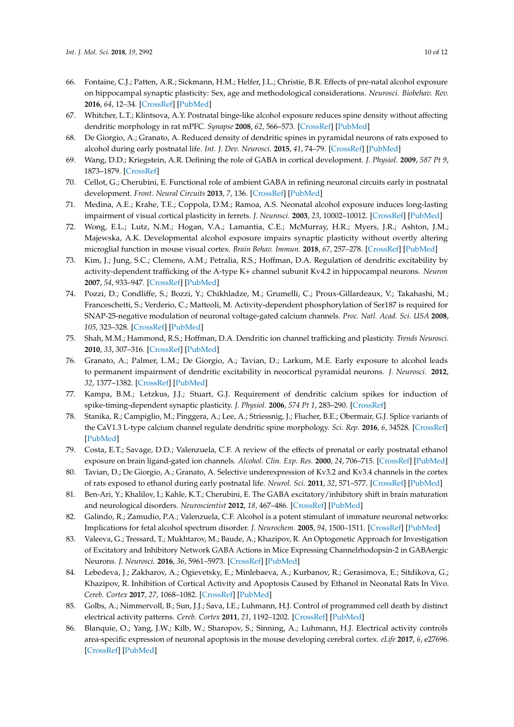- <span id="page-9-0"></span>66. Fontaine, C.J.; Patten, A.R.; Sickmann, H.M.; Helfer, J.L.; Christie, B.R. Effects of pre-natal alcohol exposure on hippocampal synaptic plasticity: Sex, age and methodological considerations. *Neurosci. Biobehav. Rev.* **2016**, *64*, 12–34. [\[CrossRef\]](http://dx.doi.org/10.1016/j.neubiorev.2016.02.014) [\[PubMed\]](http://www.ncbi.nlm.nih.gov/pubmed/26906760)
- <span id="page-9-1"></span>67. Whitcher, L.T.; Klintsova, A.Y. Postnatal binge-like alcohol exposure reduces spine density without affecting dendritic morphology in rat mPFC. *Synapse* **2008**, *62*, 566–573. [\[CrossRef\]](http://dx.doi.org/10.1002/syn.20532) [\[PubMed\]](http://www.ncbi.nlm.nih.gov/pubmed/18512209)
- <span id="page-9-2"></span>68. De Giorgio, A.; Granato, A. Reduced density of dendritic spines in pyramidal neurons of rats exposed to alcohol during early postnatal life. *Int. J. Dev. Neurosci.* **2015**, *41*, 74–79. [\[CrossRef\]](http://dx.doi.org/10.1016/j.ijdevneu.2015.01.005) [\[PubMed\]](http://www.ncbi.nlm.nih.gov/pubmed/25644892)
- <span id="page-9-3"></span>69. Wang, D.D.; Kriegstein, A.R. Defining the role of GABA in cortical development. *J. Physiol.* **2009**, *587 Pt 9*, 1873–1879. [\[CrossRef\]](http://dx.doi.org/10.1113/jphysiol.2008.167635)
- <span id="page-9-4"></span>70. Cellot, G.; Cherubini, E. Functional role of ambient GABA in refining neuronal circuits early in postnatal development. *Front. Neural Circuits* **2013**, *7*, 136. [\[CrossRef\]](http://dx.doi.org/10.3389/fncir.2013.00136) [\[PubMed\]](http://www.ncbi.nlm.nih.gov/pubmed/23964205)
- <span id="page-9-5"></span>71. Medina, A.E.; Krahe, T.E.; Coppola, D.M.; Ramoa, A.S. Neonatal alcohol exposure induces long-lasting impairment of visual cortical plasticity in ferrets. *J. Neurosci.* **2003**, *23*, 10002–10012. [\[CrossRef\]](http://dx.doi.org/10.1523/JNEUROSCI.23-31-10002.2003) [\[PubMed\]](http://www.ncbi.nlm.nih.gov/pubmed/14602814)
- <span id="page-9-6"></span>72. Wong, E.L.; Lutz, N.M.; Hogan, V.A.; Lamantia, C.E.; McMurray, H.R.; Myers, J.R.; Ashton, J.M.; Majewska, A.K. Developmental alcohol exposure impairs synaptic plasticity without overtly altering microglial function in mouse visual cortex. *Brain Behav. Immun.* **2018**, *67*, 257–278. [\[CrossRef\]](http://dx.doi.org/10.1016/j.bbi.2017.09.003) [\[PubMed\]](http://www.ncbi.nlm.nih.gov/pubmed/28918081)
- <span id="page-9-7"></span>73. Kim, J.; Jung, S.C.; Clemens, A.M.; Petralia, R.S.; Hoffman, D.A. Regulation of dendritic excitability by activity-dependent trafficking of the A-type K+ channel subunit Kv4.2 in hippocampal neurons. *Neuron* **2007**, *54*, 933–947. [\[CrossRef\]](http://dx.doi.org/10.1016/j.neuron.2007.05.026) [\[PubMed\]](http://www.ncbi.nlm.nih.gov/pubmed/17582333)
- 74. Pozzi, D.; Condliffe, S.; Bozzi, Y.; Chikhladze, M.; Grumelli, C.; Proux-Gillardeaux, V.; Takahashi, M.; Franceschetti, S.; Verderio, C.; Matteoli, M. Activity-dependent phosphorylation of Ser187 is required for SNAP-25-negative modulation of neuronal voltage-gated calcium channels. *Proc. Natl. Acad. Sci. USA* **2008**, *105*, 323–328. [\[CrossRef\]](http://dx.doi.org/10.1073/pnas.0706211105) [\[PubMed\]](http://www.ncbi.nlm.nih.gov/pubmed/18162553)
- <span id="page-9-8"></span>75. Shah, M.M.; Hammond, R.S.; Hoffman, D.A. Dendritic ion channel trafficking and plasticity. *Trends Neurosci.* **2010**, *33*, 307–316. [\[CrossRef\]](http://dx.doi.org/10.1016/j.tins.2010.03.002) [\[PubMed\]](http://www.ncbi.nlm.nih.gov/pubmed/20363038)
- <span id="page-9-9"></span>76. Granato, A.; Palmer, L.M.; De Giorgio, A.; Tavian, D.; Larkum, M.E. Early exposure to alcohol leads to permanent impairment of dendritic excitability in neocortical pyramidal neurons. *J. Neurosci.* **2012**, *32*, 1377–1382. [\[CrossRef\]](http://dx.doi.org/10.1523/JNEUROSCI.5520-11.2012) [\[PubMed\]](http://www.ncbi.nlm.nih.gov/pubmed/22279222)
- <span id="page-9-10"></span>77. Kampa, B.M.; Letzkus, J.J.; Stuart, G.J. Requirement of dendritic calcium spikes for induction of spike-timing-dependent synaptic plasticity. *J. Physiol.* **2006**, *574 Pt 1*, 283–290. [\[CrossRef\]](http://dx.doi.org/10.1113/jphysiol.2006.111062)
- <span id="page-9-11"></span>78. Stanika, R.; Campiglio, M.; Pinggera, A.; Lee, A.; Striessnig, J.; Flucher, B.E.; Obermair, G.J. Splice variants of the CaV1.3 L-type calcium channel regulate dendritic spine morphology. *Sci. Rep.* **2016**, *6*, 34528. [\[CrossRef\]](http://dx.doi.org/10.1038/srep34528) [\[PubMed\]](http://www.ncbi.nlm.nih.gov/pubmed/27708393)
- <span id="page-9-12"></span>79. Costa, E.T.; Savage, D.D.; Valenzuela, C.F. A review of the effects of prenatal or early postnatal ethanol exposure on brain ligand-gated ion channels. *Alcohol. Clin. Exp. Res.* **2000**, *24*, 706–715. [\[CrossRef\]](http://dx.doi.org/10.1111/j.1530-0277.2000.tb02043.x) [\[PubMed\]](http://www.ncbi.nlm.nih.gov/pubmed/10832913)
- <span id="page-9-13"></span>80. Tavian, D.; De Giorgio, A.; Granato, A. Selective underexpression of Kv3.2 and Kv3.4 channels in the cortex of rats exposed to ethanol during early postnatal life. *Neurol. Sci.* **2011**, *32*, 571–577. [\[CrossRef\]](http://dx.doi.org/10.1007/s10072-010-0446-7) [\[PubMed\]](http://www.ncbi.nlm.nih.gov/pubmed/21234782)
- <span id="page-9-14"></span>81. Ben-Ari, Y.; Khalilov, I.; Kahle, K.T.; Cherubini, E. The GABA excitatory/inhibitory shift in brain maturation and neurological disorders. *Neuroscientist* **2012**, *18*, 467–486. [\[CrossRef\]](http://dx.doi.org/10.1177/1073858412438697) [\[PubMed\]](http://www.ncbi.nlm.nih.gov/pubmed/22547529)
- <span id="page-9-15"></span>82. Galindo, R.; Zamudio, P.A.; Valenzuela, C.F. Alcohol is a potent stimulant of immature neuronal networks: Implications for fetal alcohol spectrum disorder. *J. Neurochem.* **2005**, *94*, 1500–1511. [\[CrossRef\]](http://dx.doi.org/10.1111/j.1471-4159.2005.03294.x) [\[PubMed\]](http://www.ncbi.nlm.nih.gov/pubmed/16000153)
- <span id="page-9-16"></span>83. Valeeva, G.; Tressard, T.; Mukhtarov, M.; Baude, A.; Khazipov, R. An Optogenetic Approach for Investigation of Excitatory and Inhibitory Network GABA Actions in Mice Expressing Channelrhodopsin-2 in GABAergic Neurons. *J. Neurosci.* **2016**, *36*, 5961–5973. [\[CrossRef\]](http://dx.doi.org/10.1523/JNEUROSCI.3482-15.2016) [\[PubMed\]](http://www.ncbi.nlm.nih.gov/pubmed/27251618)
- <span id="page-9-17"></span>84. Lebedeva, J.; Zakharov, A.; Ogievetsky, E.; Minlebaeva, A.; Kurbanov, R.; Gerasimova, E.; Sitdikova, G.; Khazipov, R. Inhibition of Cortical Activity and Apoptosis Caused by Ethanol in Neonatal Rats In Vivo. *Cereb. Cortex* **2017**, *27*, 1068–1082. [\[CrossRef\]](http://dx.doi.org/10.1093/cercor/bhv293) [\[PubMed\]](http://www.ncbi.nlm.nih.gov/pubmed/26646511)
- <span id="page-9-18"></span>85. Golbs, A.; Nimmervoll, B.; Sun, J.J.; Sava, I.E.; Luhmann, H.J. Control of programmed cell death by distinct electrical activity patterns. *Cereb. Cortex* **2011**, *21*, 1192–1202. [\[CrossRef\]](http://dx.doi.org/10.1093/cercor/bhq200) [\[PubMed\]](http://www.ncbi.nlm.nih.gov/pubmed/20966045)
- 86. Blanquie, O.; Yang, J.W.; Kilb, W.; Sharopov, S.; Sinning, A.; Luhmann, H.J. Electrical activity controls area-specific expression of neuronal apoptosis in the mouse developing cerebral cortex. *eLife* **2017**, *6*, e27696. [\[CrossRef\]](http://dx.doi.org/10.7554/eLife.27696) [\[PubMed\]](http://www.ncbi.nlm.nih.gov/pubmed/28826501)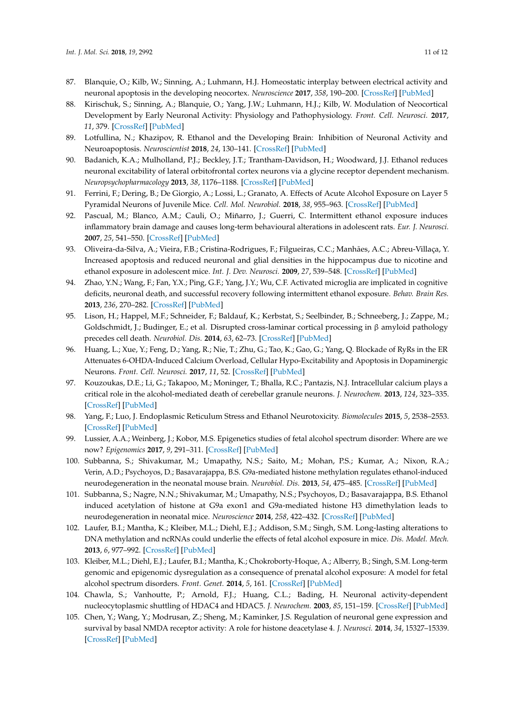- 87. Blanquie, O.; Kilb, W.; Sinning, A.; Luhmann, H.J. Homeostatic interplay between electrical activity and neuronal apoptosis in the developing neocortex. *Neuroscience* **2017**, *358*, 190–200. [\[CrossRef\]](http://dx.doi.org/10.1016/j.neuroscience.2017.06.030) [\[PubMed\]](http://www.ncbi.nlm.nih.gov/pubmed/28663094)
- 88. Kirischuk, S.; Sinning, A.; Blanquie, O.; Yang, J.W.; Luhmann, H.J.; Kilb, W. Modulation of Neocortical Development by Early Neuronal Activity: Physiology and Pathophysiology. *Front. Cell. Neurosci.* **2017**, *11*, 379. [\[CrossRef\]](http://dx.doi.org/10.3389/fncel.2017.00379) [\[PubMed\]](http://www.ncbi.nlm.nih.gov/pubmed/29238291)
- <span id="page-10-0"></span>89. Lotfullina, N.; Khazipov, R. Ethanol and the Developing Brain: Inhibition of Neuronal Activity and Neuroapoptosis. *Neuroscientist* **2018**, *24*, 130–141. [\[CrossRef\]](http://dx.doi.org/10.1177/1073858417712667) [\[PubMed\]](http://www.ncbi.nlm.nih.gov/pubmed/28580823)
- <span id="page-10-1"></span>90. Badanich, K.A.; Mulholland, P.J.; Beckley, J.T.; Trantham-Davidson, H.; Woodward, J.J. Ethanol reduces neuronal excitability of lateral orbitofrontal cortex neurons via a glycine receptor dependent mechanism. *Neuropsychopharmacology* **2013**, *38*, 1176–1188. [\[CrossRef\]](http://dx.doi.org/10.1038/npp.2013.12) [\[PubMed\]](http://www.ncbi.nlm.nih.gov/pubmed/23314219)
- <span id="page-10-2"></span>91. Ferrini, F.; Dering, B.; De Giorgio, A.; Lossi, L.; Granato, A. Effects of Acute Alcohol Exposure on Layer 5 Pyramidal Neurons of Juvenile Mice. *Cell. Mol. Neurobiol.* **2018**, *38*, 955–963. [\[CrossRef\]](http://dx.doi.org/10.1007/s10571-017-0571-4) [\[PubMed\]](http://www.ncbi.nlm.nih.gov/pubmed/29224183)
- <span id="page-10-3"></span>92. Pascual, M.; Blanco, A.M.; Cauli, O.; Miñarro, J.; Guerri, C. Intermittent ethanol exposure induces inflammatory brain damage and causes long-term behavioural alterations in adolescent rats. *Eur. J. Neurosci.* **2007**, *25*, 541–550. [\[CrossRef\]](http://dx.doi.org/10.1111/j.1460-9568.2006.05298.x) [\[PubMed\]](http://www.ncbi.nlm.nih.gov/pubmed/17284196)
- 93. Oliveira-da-Silva, A.; Vieira, F.B.; Cristina-Rodrigues, F.; Filgueiras, C.C.; Manhães, A.C.; Abreu-Villaça, Y. Increased apoptosis and reduced neuronal and glial densities in the hippocampus due to nicotine and ethanol exposure in adolescent mice. *Int. J. Dev. Neurosci.* **2009**, *27*, 539–548. [\[CrossRef\]](http://dx.doi.org/10.1016/j.ijdevneu.2009.06.009) [\[PubMed\]](http://www.ncbi.nlm.nih.gov/pubmed/19576279)
- <span id="page-10-4"></span>94. Zhao, Y.N.; Wang, F.; Fan, Y.X.; Ping, G.F.; Yang, J.Y.; Wu, C.F. Activated microglia are implicated in cognitive deficits, neuronal death, and successful recovery following intermittent ethanol exposure. *Behav. Brain Res.* **2013**, *236*, 270–282. [\[CrossRef\]](http://dx.doi.org/10.1016/j.bbr.2012.08.052) [\[PubMed\]](http://www.ncbi.nlm.nih.gov/pubmed/22985845)
- <span id="page-10-5"></span>95. Lison, H.; Happel, M.F.; Schneider, F.; Baldauf, K.; Kerbstat, S.; Seelbinder, B.; Schneeberg, J.; Zappe, M.; Goldschmidt, J.; Budinger, E.; et al. Disrupted cross-laminar cortical processing in β amyloid pathology precedes cell death. *Neurobiol. Dis.* **2014**, *63*, 62–73. [\[CrossRef\]](http://dx.doi.org/10.1016/j.nbd.2013.11.014) [\[PubMed\]](http://www.ncbi.nlm.nih.gov/pubmed/24291517)
- <span id="page-10-6"></span>96. Huang, L.; Xue, Y.; Feng, D.; Yang, R.; Nie, T.; Zhu, G.; Tao, K.; Gao, G.; Yang, Q. Blockade of RyRs in the ER Attenuates 6-OHDA-Induced Calcium Overload, Cellular Hypo-Excitability and Apoptosis in Dopaminergic Neurons. *Front. Cell. Neurosci.* **2017**, *11*, 52. [\[CrossRef\]](http://dx.doi.org/10.3389/fncel.2017.00052) [\[PubMed\]](http://www.ncbi.nlm.nih.gov/pubmed/28316566)
- <span id="page-10-7"></span>97. Kouzoukas, D.E.; Li, G.; Takapoo, M.; Moninger, T.; Bhalla, R.C.; Pantazis, N.J. Intracellular calcium plays a critical role in the alcohol-mediated death of cerebellar granule neurons. *J. Neurochem.* **2013**, *124*, 323–335. [\[CrossRef\]](http://dx.doi.org/10.1111/jnc.12076) [\[PubMed\]](http://www.ncbi.nlm.nih.gov/pubmed/23121601)
- <span id="page-10-8"></span>98. Yang, F.; Luo, J. Endoplasmic Reticulum Stress and Ethanol Neurotoxicity. *Biomolecules* **2015**, *5*, 2538–2553. [\[CrossRef\]](http://dx.doi.org/10.3390/biom5042538) [\[PubMed\]](http://www.ncbi.nlm.nih.gov/pubmed/26473940)
- <span id="page-10-9"></span>99. Lussier, A.A.; Weinberg, J.; Kobor, M.S. Epigenetics studies of fetal alcohol spectrum disorder: Where are we now? *Epigenomics* **2017**, *9*, 291–311. [\[CrossRef\]](http://dx.doi.org/10.2217/epi-2016-0163) [\[PubMed\]](http://www.ncbi.nlm.nih.gov/pubmed/28234026)
- <span id="page-10-10"></span>100. Subbanna, S.; Shivakumar, M.; Umapathy, N.S.; Saito, M.; Mohan, P.S.; Kumar, A.; Nixon, R.A.; Verin, A.D.; Psychoyos, D.; Basavarajappa, B.S. G9a-mediated histone methylation regulates ethanol-induced neurodegeneration in the neonatal mouse brain. *Neurobiol. Dis.* **2013**, *54*, 475–485. [\[CrossRef\]](http://dx.doi.org/10.1016/j.nbd.2013.01.022) [\[PubMed\]](http://www.ncbi.nlm.nih.gov/pubmed/23396011)
- <span id="page-10-11"></span>101. Subbanna, S.; Nagre, N.N.; Shivakumar, M.; Umapathy, N.S.; Psychoyos, D.; Basavarajappa, B.S. Ethanol induced acetylation of histone at G9a exon1 and G9a-mediated histone H3 dimethylation leads to neurodegeneration in neonatal mice. *Neuroscience* **2014**, *258*, 422–432. [\[CrossRef\]](http://dx.doi.org/10.1016/j.neuroscience.2013.11.043) [\[PubMed\]](http://www.ncbi.nlm.nih.gov/pubmed/24300108)
- <span id="page-10-12"></span>102. Laufer, B.I.; Mantha, K.; Kleiber, M.L.; Diehl, E.J.; Addison, S.M.; Singh, S.M. Long-lasting alterations to DNA methylation and ncRNAs could underlie the effects of fetal alcohol exposure in mice. *Dis. Model. Mech.* **2013**, *6*, 977–992. [\[CrossRef\]](http://dx.doi.org/10.1242/dmm.010975) [\[PubMed\]](http://www.ncbi.nlm.nih.gov/pubmed/23580197)
- <span id="page-10-13"></span>103. Kleiber, M.L.; Diehl, E.J.; Laufer, B.I.; Mantha, K.; Chokroborty-Hoque, A.; Alberry, B.; Singh, S.M. Long-term genomic and epigenomic dysregulation as a consequence of prenatal alcohol exposure: A model for fetal alcohol spectrum disorders. *Front. Genet.* **2014**, *5*, 161. [\[CrossRef\]](http://dx.doi.org/10.3389/fgene.2014.00161) [\[PubMed\]](http://www.ncbi.nlm.nih.gov/pubmed/24917881)
- <span id="page-10-14"></span>104. Chawla, S.; Vanhoutte, P.; Arnold, F.J.; Huang, C.L.; Bading, H. Neuronal activity-dependent nucleocytoplasmic shuttling of HDAC4 and HDAC5. *J. Neurochem.* **2003**, *85*, 151–159. [\[CrossRef\]](http://dx.doi.org/10.1046/j.1471-4159.2003.01648.x) [\[PubMed\]](http://www.ncbi.nlm.nih.gov/pubmed/12641737)
- <span id="page-10-15"></span>105. Chen, Y.; Wang, Y.; Modrusan, Z.; Sheng, M.; Kaminker, J.S. Regulation of neuronal gene expression and survival by basal NMDA receptor activity: A role for histone deacetylase 4. *J. Neurosci.* **2014**, *34*, 15327–15339. [\[CrossRef\]](http://dx.doi.org/10.1523/JNEUROSCI.0569-14.2014) [\[PubMed\]](http://www.ncbi.nlm.nih.gov/pubmed/25392500)